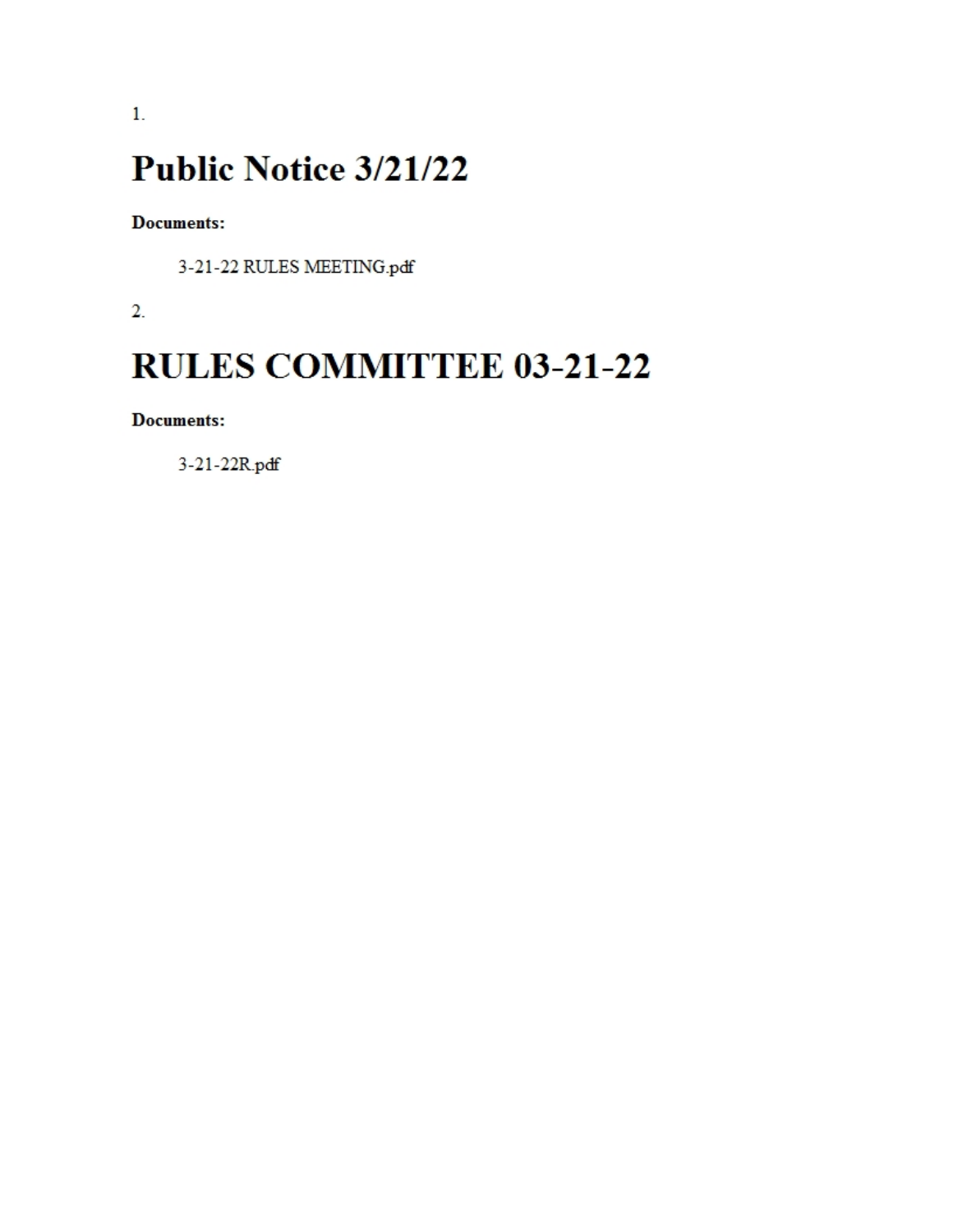## Public Notice 3/21/22

#### **Documents:**

3-21-22 RULES MEETING.pdf

 $\overline{2}$ .

# **RULES COMMITTEE 03-21-22**

**Documents:** 

3-21-22R.pdf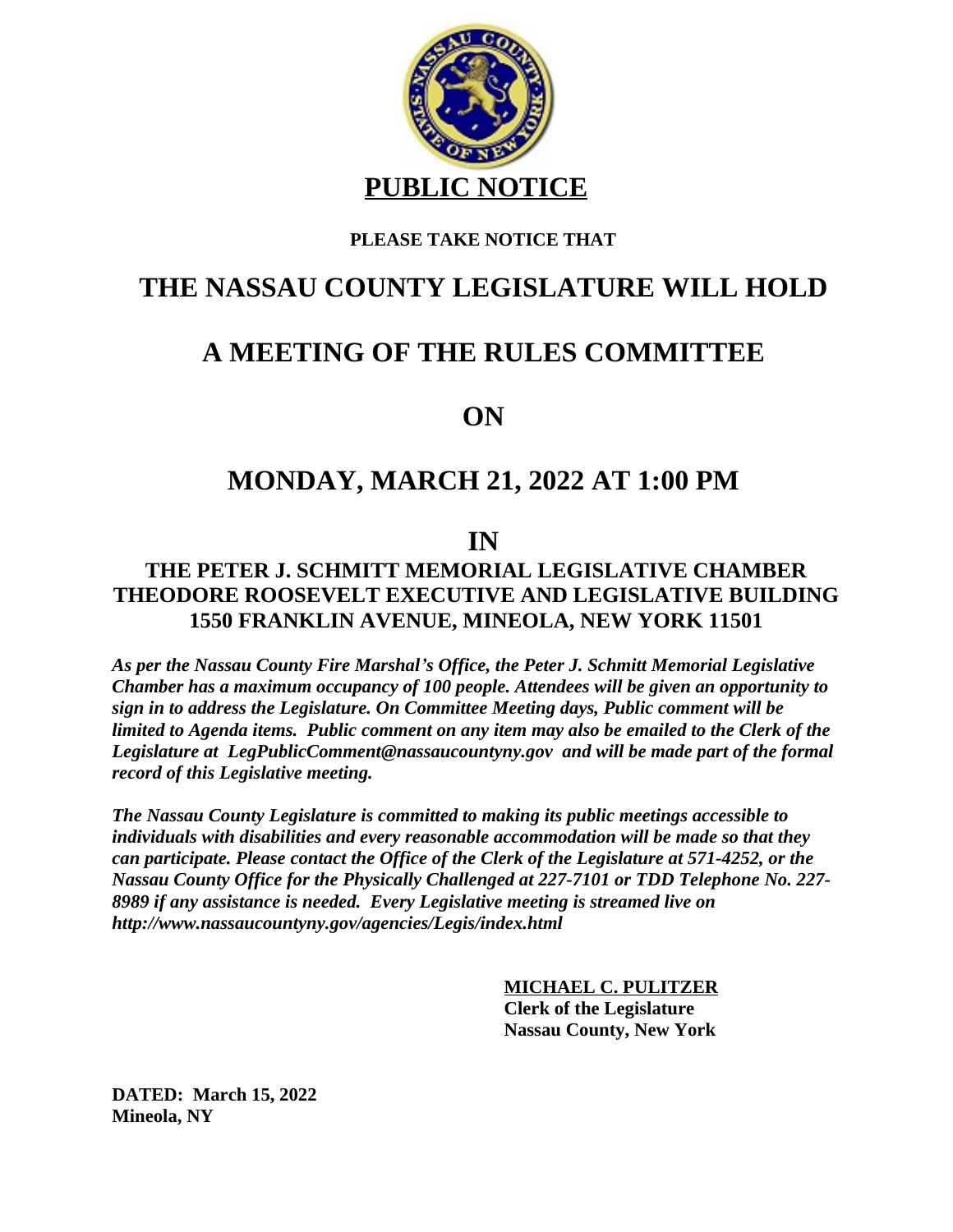

#### **PLEASE TAKE NOTICE THAT**

## **THE NASSAU COUNTY LEGISLATURE WILL HOLD**

## **A MEETING OF THE RULES COMMITTEE**

**ON**

## **MONDAY, MARCH 21, 2022 AT 1:00 PM**

### **IN**

### **THE PETER J. SCHMITT MEMORIAL LEGISLATIVE CHAMBER THEODORE ROOSEVELT EXECUTIVE AND LEGISLATIVE BUILDING 1550 FRANKLIN AVENUE, MINEOLA, NEW YORK 11501**

*As per the Nassau County Fire Marshal's Office, the Peter J. Schmitt Memorial Legislative Chamber has a maximum occupancy of 100 people. Attendees will be given an opportunity to sign in to address the Legislature. On Committee Meeting days, Public comment will be limited to Agenda items. Public comment on any item may also be emailed to the Clerk of the Legislature at LegPublicComment@nassaucountyny.gov and will be made part of the formal record of this Legislative meeting.* 

*The Nassau County Legislature is committed to making its public meetings accessible to individuals with disabilities and every reasonable accommodation will be made so that they can participate. Please contact the Office of the Clerk of the Legislature at 571-4252, or the Nassau County Office for the Physically Challenged at 227-7101 or TDD Telephone No. 227- 8989 if any assistance is needed. Every Legislative meeting is streamed live on http://www.nassaucountyny.gov/agencies/Legis/index.html*

> **MICHAEL C. PULITZER Clerk of the Legislature Nassau County, New York**

**DATED: March 15, 2022 Mineola, NY**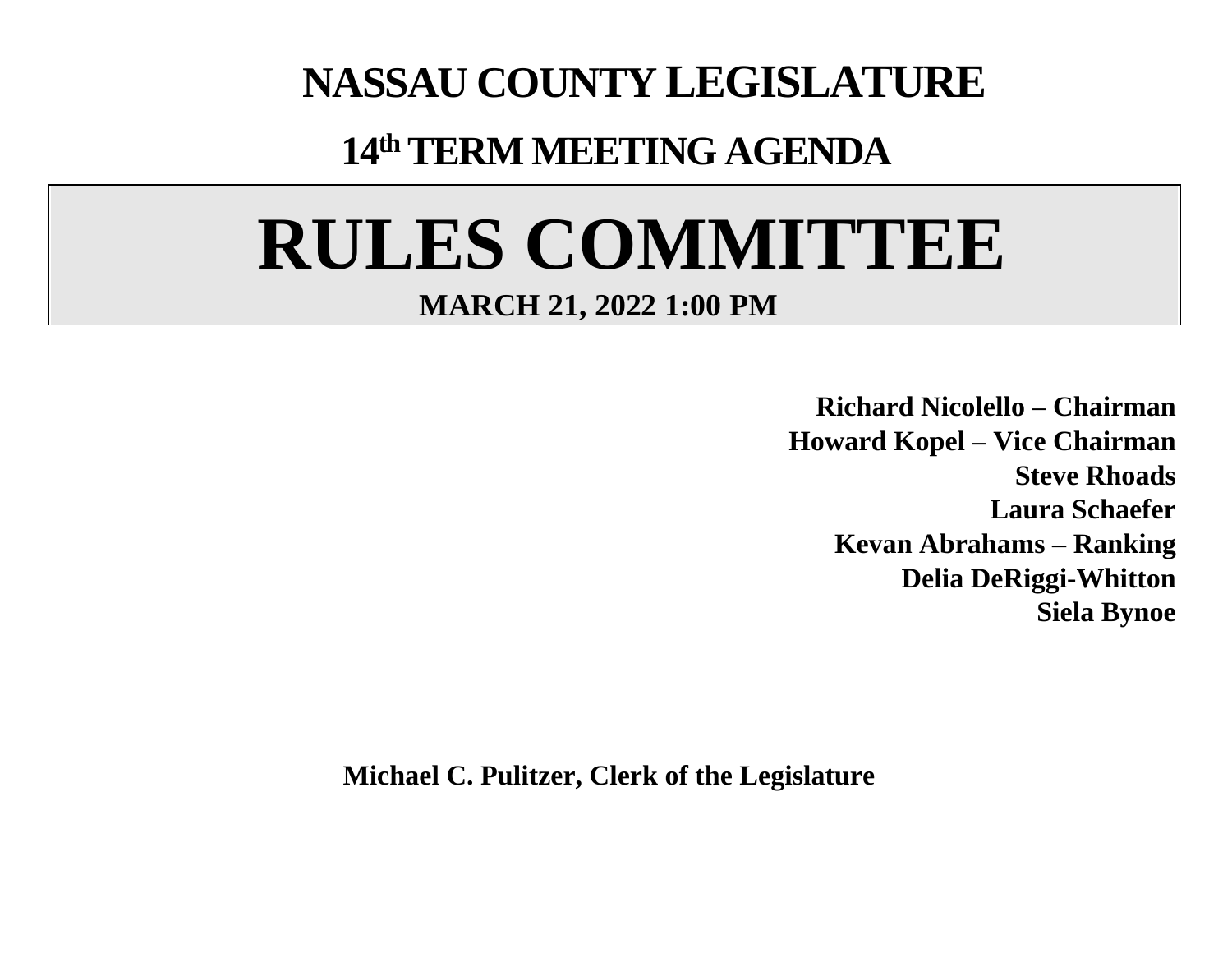# **NASSAU COUNTY LEGISLATURE**

# **14 th TERM MEETING AGENDA**

# **RULES COMMITTEE MARCH 21, 2022 1:00 PM**

**Richard Nicolello – Chairman Howard Kopel – Vice Chairman Steve Rhoads Laura Schaefer Kevan Abrahams – Ranking Delia DeRiggi-Whitton Siela Bynoe**

 **Michael C. Pulitzer, Clerk of the Legislature**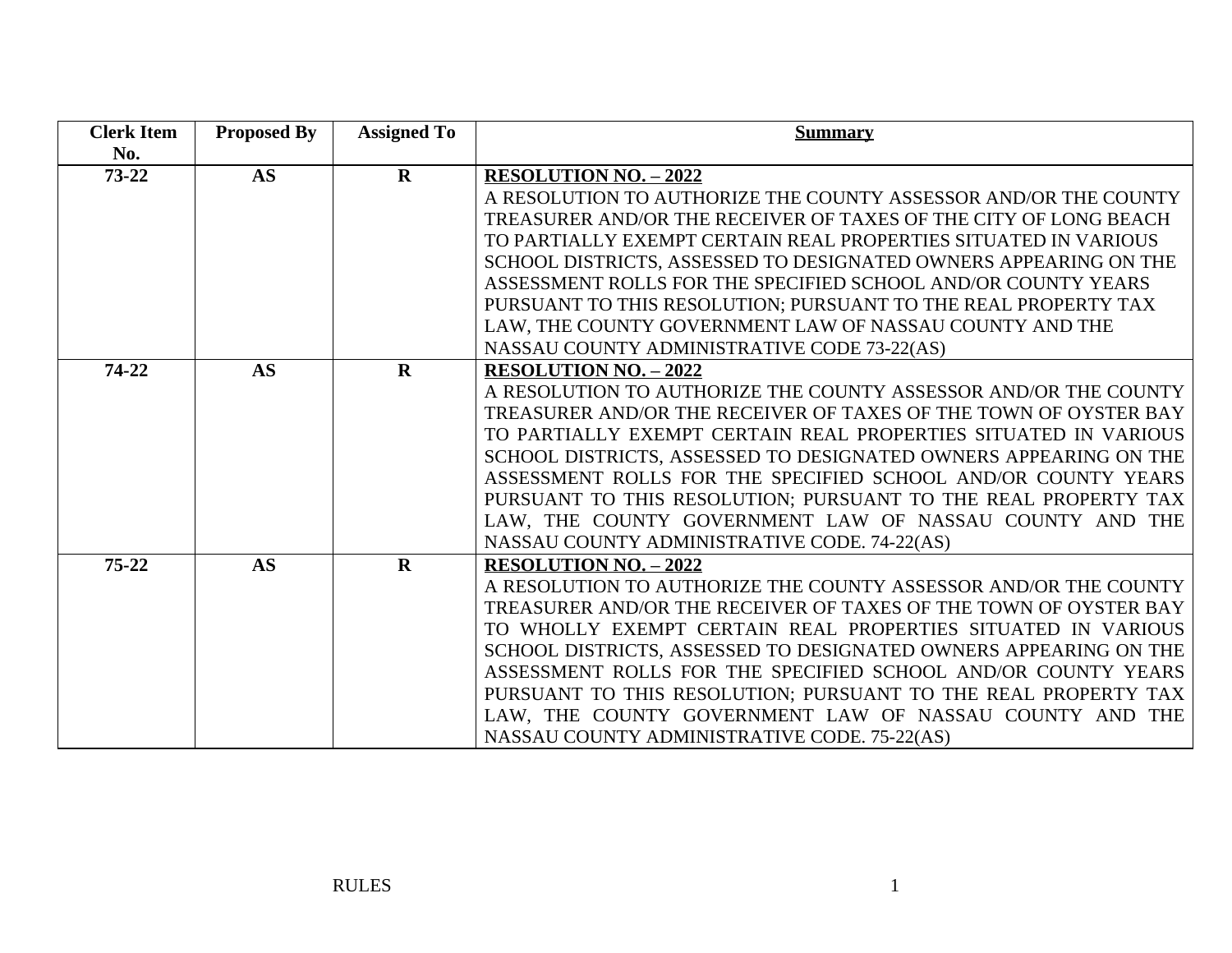| <b>Clerk Item</b><br>No. | <b>Proposed By</b> | <b>Assigned To</b> | <b>Summary</b>                                                   |
|--------------------------|--------------------|--------------------|------------------------------------------------------------------|
| $73 - 22$                | AS                 | $\mathbf{R}$       | <b>RESOLUTION NO. - 2022</b>                                     |
|                          |                    |                    | A RESOLUTION TO AUTHORIZE THE COUNTY ASSESSOR AND/OR THE COUNTY  |
|                          |                    |                    | TREASURER AND/OR THE RECEIVER OF TAXES OF THE CITY OF LONG BEACH |
|                          |                    |                    | TO PARTIALLY EXEMPT CERTAIN REAL PROPERTIES SITUATED IN VARIOUS  |
|                          |                    |                    | SCHOOL DISTRICTS, ASSESSED TO DESIGNATED OWNERS APPEARING ON THE |
|                          |                    |                    | ASSESSMENT ROLLS FOR THE SPECIFIED SCHOOL AND/OR COUNTY YEARS    |
|                          |                    |                    | PURSUANT TO THIS RESOLUTION; PURSUANT TO THE REAL PROPERTY TAX   |
|                          |                    |                    | LAW, THE COUNTY GOVERNMENT LAW OF NASSAU COUNTY AND THE          |
|                          |                    |                    | NASSAU COUNTY ADMINISTRATIVE CODE 73-22(AS)                      |
| 74-22                    | <b>AS</b>          | $\mathbf R$        | <b>RESOLUTION NO. - 2022</b>                                     |
|                          |                    |                    | A RESOLUTION TO AUTHORIZE THE COUNTY ASSESSOR AND/OR THE COUNTY  |
|                          |                    |                    | TREASURER AND/OR THE RECEIVER OF TAXES OF THE TOWN OF OYSTER BAY |
|                          |                    |                    | TO PARTIALLY EXEMPT CERTAIN REAL PROPERTIES SITUATED IN VARIOUS  |
|                          |                    |                    | SCHOOL DISTRICTS, ASSESSED TO DESIGNATED OWNERS APPEARING ON THE |
|                          |                    |                    | ASSESSMENT ROLLS FOR THE SPECIFIED SCHOOL AND/OR COUNTY YEARS    |
|                          |                    |                    | PURSUANT TO THIS RESOLUTION; PURSUANT TO THE REAL PROPERTY TAX   |
|                          |                    |                    | LAW, THE COUNTY GOVERNMENT LAW OF NASSAU COUNTY AND THE          |
|                          |                    |                    | NASSAU COUNTY ADMINISTRATIVE CODE. 74-22(AS)                     |
| $75 - 22$                | <b>AS</b>          | $\mathbf{R}$       | <b>RESOLUTION NO. - 2022</b>                                     |
|                          |                    |                    | A RESOLUTION TO AUTHORIZE THE COUNTY ASSESSOR AND/OR THE COUNTY  |
|                          |                    |                    | TREASURER AND/OR THE RECEIVER OF TAXES OF THE TOWN OF OYSTER BAY |
|                          |                    |                    | TO WHOLLY EXEMPT CERTAIN REAL PROPERTIES SITUATED IN VARIOUS     |
|                          |                    |                    | SCHOOL DISTRICTS, ASSESSED TO DESIGNATED OWNERS APPEARING ON THE |
|                          |                    |                    | ASSESSMENT ROLLS FOR THE SPECIFIED SCHOOL AND/OR COUNTY YEARS    |
|                          |                    |                    | PURSUANT TO THIS RESOLUTION; PURSUANT TO THE REAL PROPERTY TAX   |
|                          |                    |                    | LAW, THE COUNTY GOVERNMENT LAW OF NASSAU COUNTY AND THE          |
|                          |                    |                    | NASSAU COUNTY ADMINISTRATIVE CODE, 75-22(AS)                     |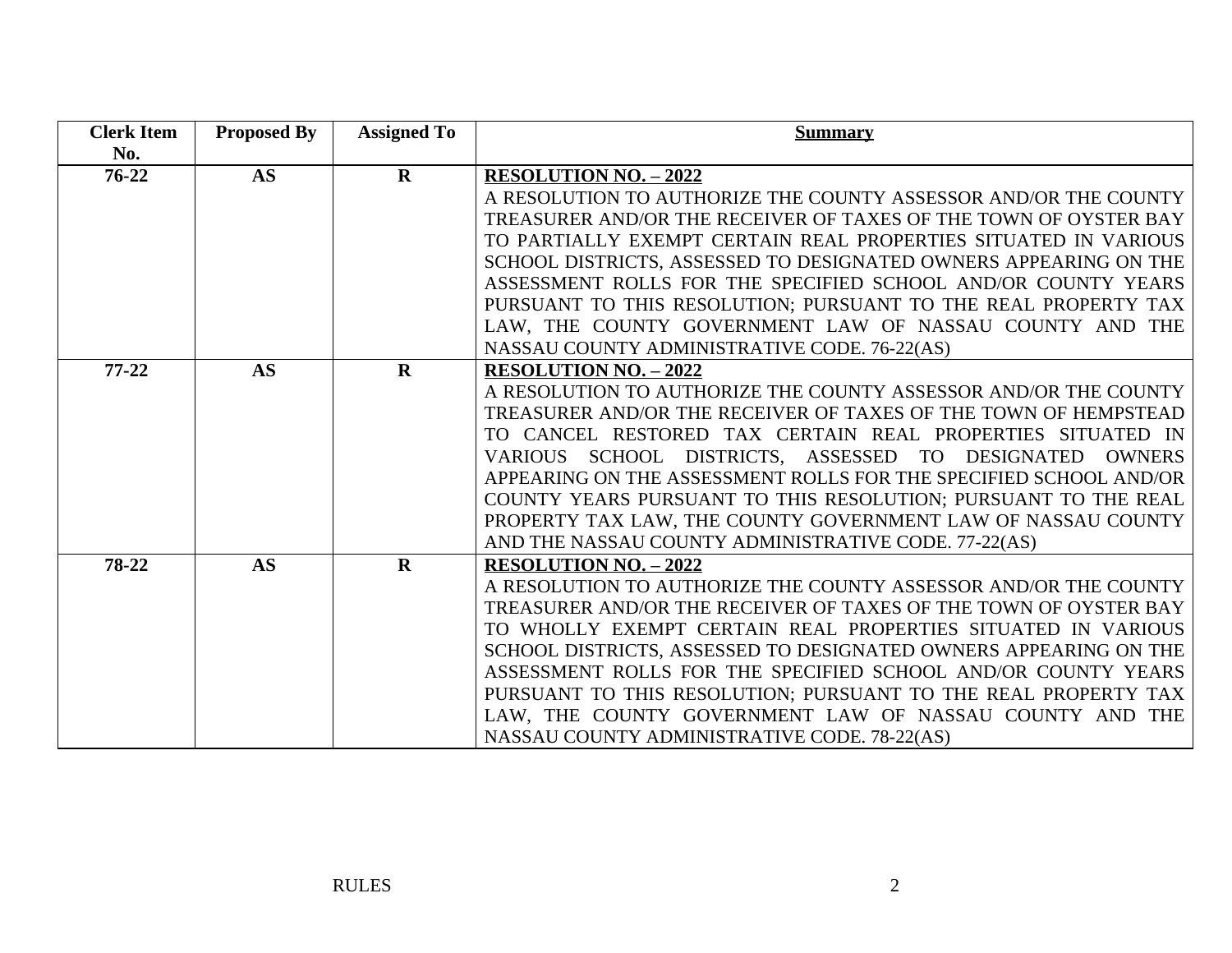| <b>Clerk Item</b> | <b>Proposed By</b> | <b>Assigned To</b> | <b>Summary</b>                                                                              |
|-------------------|--------------------|--------------------|---------------------------------------------------------------------------------------------|
| No.               |                    |                    |                                                                                             |
| $76 - 22$         | <b>AS</b>          | $\mathbf{R}$       | <b>RESOLUTION NO. - 2022</b>                                                                |
|                   |                    |                    | A RESOLUTION TO AUTHORIZE THE COUNTY ASSESSOR AND/OR THE COUNTY                             |
|                   |                    |                    | TREASURER AND/OR THE RECEIVER OF TAXES OF THE TOWN OF OYSTER BAY                            |
|                   |                    |                    | TO PARTIALLY EXEMPT CERTAIN REAL PROPERTIES SITUATED IN VARIOUS                             |
|                   |                    |                    | SCHOOL DISTRICTS, ASSESSED TO DESIGNATED OWNERS APPEARING ON THE                            |
|                   |                    |                    | ASSESSMENT ROLLS FOR THE SPECIFIED SCHOOL AND/OR COUNTY YEARS                               |
|                   |                    |                    | PURSUANT TO THIS RESOLUTION; PURSUANT TO THE REAL PROPERTY TAX                              |
|                   |                    |                    | LAW, THE COUNTY GOVERNMENT LAW OF NASSAU COUNTY AND THE                                     |
|                   |                    |                    | NASSAU COUNTY ADMINISTRATIVE CODE. 76-22(AS)                                                |
| $77 - 22$         | <b>AS</b>          | $\mathbf R$        | <b>RESOLUTION NO. - 2022</b>                                                                |
|                   |                    |                    | A RESOLUTION TO AUTHORIZE THE COUNTY ASSESSOR AND/OR THE COUNTY                             |
|                   |                    |                    | TREASURER AND/OR THE RECEIVER OF TAXES OF THE TOWN OF HEMPSTEAD                             |
|                   |                    |                    | TO CANCEL RESTORED TAX CERTAIN REAL PROPERTIES SITUATED IN                                  |
|                   |                    |                    | DISTRICTS, ASSESSED<br><b>DESIGNATED</b><br><b>OWNERS</b><br><b>VARIOUS</b><br>SCHOOL<br>TO |
|                   |                    |                    | APPEARING ON THE ASSESSMENT ROLLS FOR THE SPECIFIED SCHOOL AND/OR                           |
|                   |                    |                    | COUNTY YEARS PURSUANT TO THIS RESOLUTION; PURSUANT TO THE REAL                              |
|                   |                    |                    | PROPERTY TAX LAW, THE COUNTY GOVERNMENT LAW OF NASSAU COUNTY                                |
|                   |                    |                    | AND THE NASSAU COUNTY ADMINISTRATIVE CODE. 77-22(AS)                                        |
| 78-22             | <b>AS</b>          | $\mathbf{R}$       | <b>RESOLUTION NO. - 2022</b>                                                                |
|                   |                    |                    | A RESOLUTION TO AUTHORIZE THE COUNTY ASSESSOR AND/OR THE COUNTY                             |
|                   |                    |                    | TREASURER AND/OR THE RECEIVER OF TAXES OF THE TOWN OF OYSTER BAY                            |
|                   |                    |                    | TO WHOLLY EXEMPT CERTAIN REAL PROPERTIES SITUATED IN VARIOUS                                |
|                   |                    |                    | SCHOOL DISTRICTS, ASSESSED TO DESIGNATED OWNERS APPEARING ON THE                            |
|                   |                    |                    | ASSESSMENT ROLLS FOR THE SPECIFIED SCHOOL AND/OR COUNTY YEARS                               |
|                   |                    |                    | PURSUANT TO THIS RESOLUTION; PURSUANT TO THE REAL PROPERTY TAX                              |
|                   |                    |                    | LAW, THE COUNTY GOVERNMENT LAW OF NASSAU COUNTY AND THE                                     |
|                   |                    |                    | NASSAU COUNTY ADMINISTRATIVE CODE. 78-22(AS)                                                |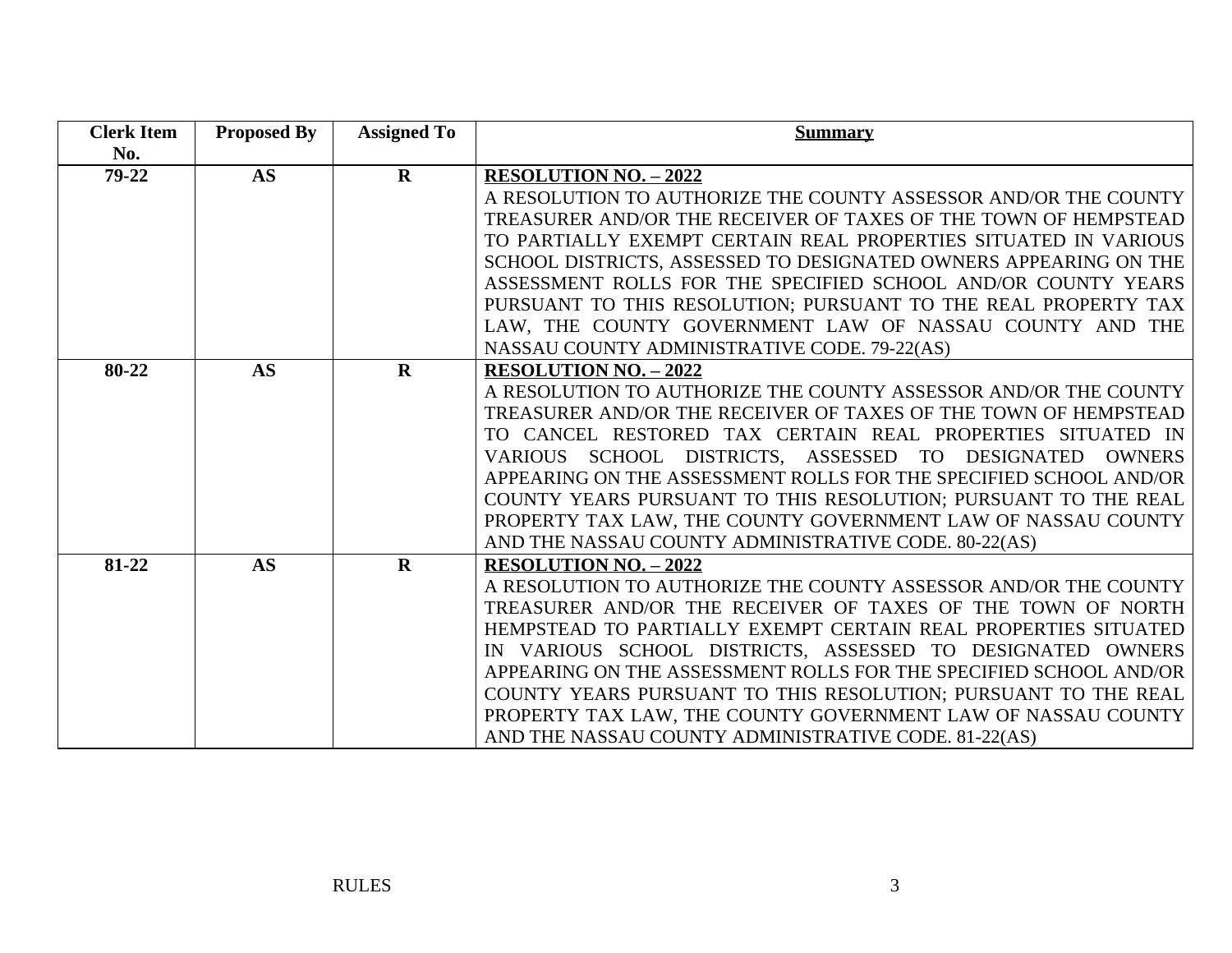| <b>Clerk Item</b> | <b>Proposed By</b> | <b>Assigned To</b> | <b>Summary</b>                                                                                     |
|-------------------|--------------------|--------------------|----------------------------------------------------------------------------------------------------|
| No.               |                    |                    |                                                                                                    |
| 79-22             | <b>AS</b>          | $\mathbf{R}$       | <b>RESOLUTION NO. - 2022</b>                                                                       |
|                   |                    |                    | A RESOLUTION TO AUTHORIZE THE COUNTY ASSESSOR AND/OR THE COUNTY                                    |
|                   |                    |                    | TREASURER AND/OR THE RECEIVER OF TAXES OF THE TOWN OF HEMPSTEAD                                    |
|                   |                    |                    | TO PARTIALLY EXEMPT CERTAIN REAL PROPERTIES SITUATED IN VARIOUS                                    |
|                   |                    |                    | SCHOOL DISTRICTS, ASSESSED TO DESIGNATED OWNERS APPEARING ON THE                                   |
|                   |                    |                    | ASSESSMENT ROLLS FOR THE SPECIFIED SCHOOL AND/OR COUNTY YEARS                                      |
|                   |                    |                    | PURSUANT TO THIS RESOLUTION; PURSUANT TO THE REAL PROPERTY TAX                                     |
|                   |                    |                    | LAW, THE COUNTY GOVERNMENT LAW OF NASSAU COUNTY AND THE                                            |
|                   |                    |                    | NASSAU COUNTY ADMINISTRATIVE CODE. 79-22(AS)                                                       |
| 80-22             | <b>AS</b>          | $\mathbf{R}$       | <b>RESOLUTION NO. - 2022</b>                                                                       |
|                   |                    |                    | A RESOLUTION TO AUTHORIZE THE COUNTY ASSESSOR AND/OR THE COUNTY                                    |
|                   |                    |                    | TREASURER AND/OR THE RECEIVER OF TAXES OF THE TOWN OF HEMPSTEAD                                    |
|                   |                    |                    | TO CANCEL RESTORED TAX CERTAIN REAL PROPERTIES SITUATED IN                                         |
|                   |                    |                    | <b>OWNERS</b><br>SCHOOL<br>DISTRICTS, ASSESSED<br><b>DESIGNATED</b><br><b>VARIOUS</b><br><b>TO</b> |
|                   |                    |                    | APPEARING ON THE ASSESSMENT ROLLS FOR THE SPECIFIED SCHOOL AND/OR                                  |
|                   |                    |                    | COUNTY YEARS PURSUANT TO THIS RESOLUTION; PURSUANT TO THE REAL                                     |
|                   |                    |                    | PROPERTY TAX LAW, THE COUNTY GOVERNMENT LAW OF NASSAU COUNTY                                       |
|                   |                    |                    | AND THE NASSAU COUNTY ADMINISTRATIVE CODE. 80-22(AS)                                               |
| 81-22             | <b>AS</b>          | $\mathbf{R}$       | <b>RESOLUTION NO. - 2022</b>                                                                       |
|                   |                    |                    | A RESOLUTION TO AUTHORIZE THE COUNTY ASSESSOR AND/OR THE COUNTY                                    |
|                   |                    |                    | TREASURER AND/OR THE RECEIVER OF TAXES OF THE TOWN OF NORTH                                        |
|                   |                    |                    | HEMPSTEAD TO PARTIALLY EXEMPT CERTAIN REAL PROPERTIES SITUATED                                     |
|                   |                    |                    | IN VARIOUS SCHOOL DISTRICTS, ASSESSED TO DESIGNATED OWNERS                                         |
|                   |                    |                    | APPEARING ON THE ASSESSMENT ROLLS FOR THE SPECIFIED SCHOOL AND/OR                                  |
|                   |                    |                    | COUNTY YEARS PURSUANT TO THIS RESOLUTION; PURSUANT TO THE REAL                                     |
|                   |                    |                    | PROPERTY TAX LAW, THE COUNTY GOVERNMENT LAW OF NASSAU COUNTY                                       |
|                   |                    |                    | AND THE NASSAU COUNTY ADMINISTRATIVE CODE. 81-22(AS)                                               |